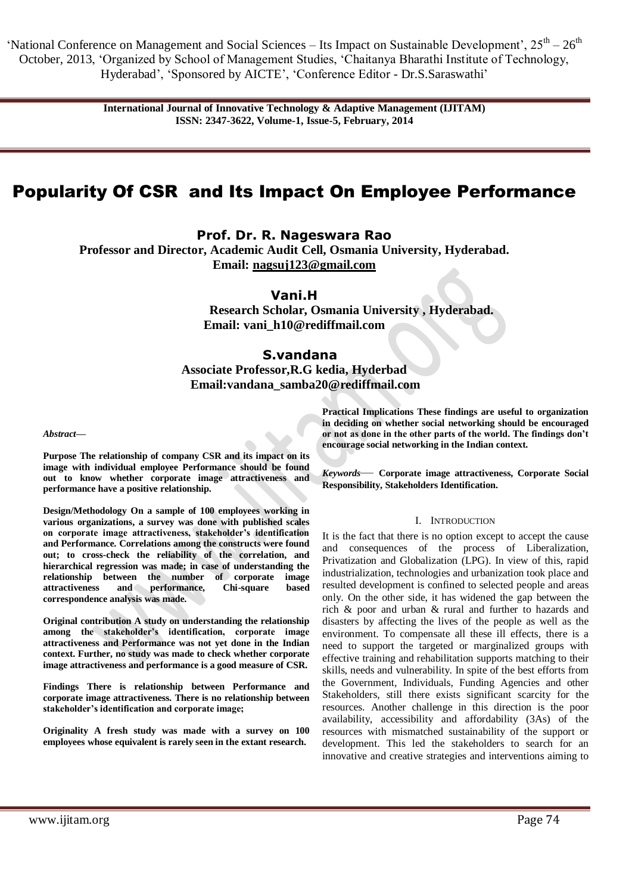'National Conference on Management and Social Sciences – Its Impact on Sustainable Development',  $25^{th} - 26^{th}$ October, 2013, ‗Organized by School of Management Studies, ‗Chaitanya Bharathi Institute of Technology, Hyderabad', 'Sponsored by AICTE', 'Conference Editor - Dr.S. Saraswathi'

> **International Journal of Innovative Technology & Adaptive Management (IJITAM) ISSN: 2347-3622, Volume-1, Issue-5, February, 2014**

# Popularity Of CSR and Its Impact On Employee Performance

**Prof. Dr. R. Nageswara Rao**

**Professor and Director, Academic Audit Cell, Osmania University, Hyderabad. Email: [nagsuj123@gmail.com](mailto:nagsuj123@gmail.com)**

**Vani.H**

**Research Scholar, Osmania University , Hyderabad. Email: vani\_h10@rediffmail.com**

# **S.vandana**

**Associate Professor,R.G kedia, Hyderbad Email:vandana\_samba20@rediffmail.com**

#### *Abstract***—**

**Purpose The relationship of company CSR and its impact on its image with individual employee Performance should be found out to know whether corporate image attractiveness and performance have a positive relationship.**

**Design/Methodology On a sample of 100 employees working in various organizations, a survey was done with published scales on corporate image attractiveness, stakeholder's identification and Performance. Correlations among the constructs were found out; to cross-check the reliability of the correlation, and hierarchical regression was made; in case of understanding the relationship between the number of corporate image attractiveness and performance, Chi-square based correspondence analysis was made.** 

**Original contribution A study on understanding the relationship among the stakeholder's identification, corporate image attractiveness and Performance was not yet done in the Indian context. Further, no study was made to check whether corporate image attractiveness and performance is a good measure of CSR.** 

**Findings There is relationship between Performance and corporate image attractiveness. There is no relationship between stakeholder's identification and corporate image;** 

**Originality A fresh study was made with a survey on 100 employees whose equivalent is rarely seen in the extant research.**

**Practical Implications These findings are useful to organization in deciding on whether social networking should be encouraged or not as done in the other parts of the world. The findings don't encourage social networking in the Indian context.**

*Keywords*— **Corporate image attractiveness, Corporate Social Responsibility, Stakeholders Identification.**

#### I. INTRODUCTION

It is the fact that there is no option except to accept the cause and consequences of the process of Liberalization, Privatization and Globalization (LPG). In view of this, rapid industrialization, technologies and urbanization took place and resulted development is confined to selected people and areas only. On the other side, it has widened the gap between the rich & poor and urban & rural and further to hazards and disasters by affecting the lives of the people as well as the environment. To compensate all these ill effects, there is a need to support the targeted or marginalized groups with effective training and rehabilitation supports matching to their skills, needs and vulnerability. In spite of the best efforts from the Government, Individuals, Funding Agencies and other Stakeholders, still there exists significant scarcity for the resources. Another challenge in this direction is the poor availability, accessibility and affordability (3As) of the resources with mismatched sustainability of the support or development. This led the stakeholders to search for an innovative and creative strategies and interventions aiming to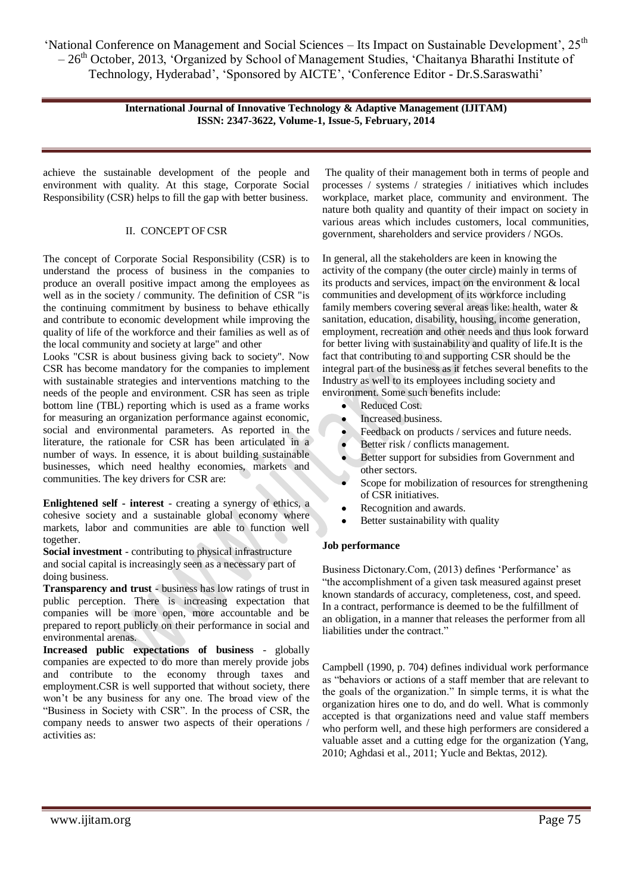'National Conference on Management and Social Sciences – Its Impact on Sustainable Development', 25<sup>th</sup>  $-26<sup>th</sup>$  October, 2013, 'Organized by School of Management Studies, 'Chaitanya Bharathi Institute of Technology, Hyderabad', 'Sponsored by AICTE', 'Conference Editor - Dr.S.Saraswathi'

> **International Journal of Innovative Technology & Adaptive Management (IJITAM) ISSN: 2347-3622, Volume-1, Issue-5, February, 2014**

achieve the sustainable development of the people and environment with quality. At this stage, Corporate Social Responsibility (CSR) helps to fill the gap with better business.

# II. CONCEPT OF CSR

The concept of Corporate Social Responsibility (CSR) is to understand the process of business in the companies to produce an overall positive impact among the employees as well as in the society / community. The definition of CSR "is the continuing commitment by business to behave ethically and contribute to economic development while improving the quality of life of the workforce and their families as well as of the local community and society at large" and other

Looks "CSR is about business giving back to society". Now CSR has become mandatory for the companies to implement with sustainable strategies and interventions matching to the needs of the people and environment. CSR has seen as triple bottom line (TBL) reporting which is used as a frame works for measuring an organization performance against economic, social and environmental parameters. As reported in the literature, the rationale for CSR has been articulated in a number of ways. In essence, it is about building sustainable businesses, which need healthy economies, markets and communities. The key drivers for CSR are:

**Enlightened self - interest** - creating a synergy of ethics, a cohesive society and a sustainable global economy where markets, labor and communities are able to function well together.

**Social investment** - contributing to physical infrastructure and social capital is increasingly seen as a necessary part of doing business.

**Transparency and trust** - business has low ratings of trust in public perception. There is increasing expectation that companies will be more open, more accountable and be prepared to report publicly on their performance in social and environmental arenas.

**Increased public expectations of business** - globally companies are expected to do more than merely provide jobs and contribute to the economy through taxes and employment.CSR is well supported that without society, there won't be any business for any one. The broad view of the "Business in Society with CSR". In the process of CSR, the company needs to answer two aspects of their operations / activities as:

The quality of their management both in terms of people and processes / systems / strategies / initiatives which includes workplace, market place, community and environment. The nature both quality and quantity of their impact on society in various areas which includes customers, local communities, government, shareholders and service providers / NGOs.

In general, all the stakeholders are keen in knowing the activity of the company (the outer circle) mainly in terms of its products and services, impact on the environment & local communities and development of its workforce including family members covering several areas like: health, water & sanitation, education, disability, housing, income generation, employment, recreation and other needs and thus look forward for better living with sustainability and quality of life.It is the fact that contributing to and supporting CSR should be the integral part of the business as it fetches several benefits to the Industry as well to its employees including society and environment. Some such benefits include:

- Reduced Cost.
- Increased business.  $\bullet$
- Feedback on products / services and future needs.
- Better risk / conflicts management.
- Better support for subsidies from Government and other sectors.
- Scope for mobilization of resources for strengthening of CSR initiatives.
- Recognition and awards.
- Better sustainability with quality

#### **Job performance**

Business Dictonary.Com, (2013) defines 'Performance' as "the accomplishment of a given [task](http://www.businessdictionary.com/definition/task.html) measure[d against](http://www.investorwords.com/8787/against.html) preset known standards of accuracy, completeness, [cost,](http://www.businessdictionary.com/definition/cost.html) and speed. In [a contract,](http://www.businessdictionary.com/definition/contract.html) [performance](http://www.investorguide.com/definition/performance.html) is [deemed](http://www.businessdictionary.com/definition/deemed.html) to be th[e fulfillment](http://www.businessdictionary.com/definition/fulfillment.html) of a[n obligation,](http://www.investorguide.com/definition/obligation.html) in a manner tha[t releases](http://www.businessdictionary.com/definition/release.html) the performer fro[m all](http://www.investorwords.com/6221/all.html) [liabilities](http://www.businessdictionary.com/definition/liability.html) under the contract."

Campbell (1990, p. 704) defines individual work performance as "behaviors or actions of a staff member that are relevant to the goals of the organization." In simple terms, it is what the organization hires one to do, and do well. What is commonly accepted is that organizations need and value staff members who perform well, and these high performers are considered a valuable asset and a cutting edge for the organization (Yang, 2010; Aghdasi et al., 2011; Yucle and Bektas, 2012).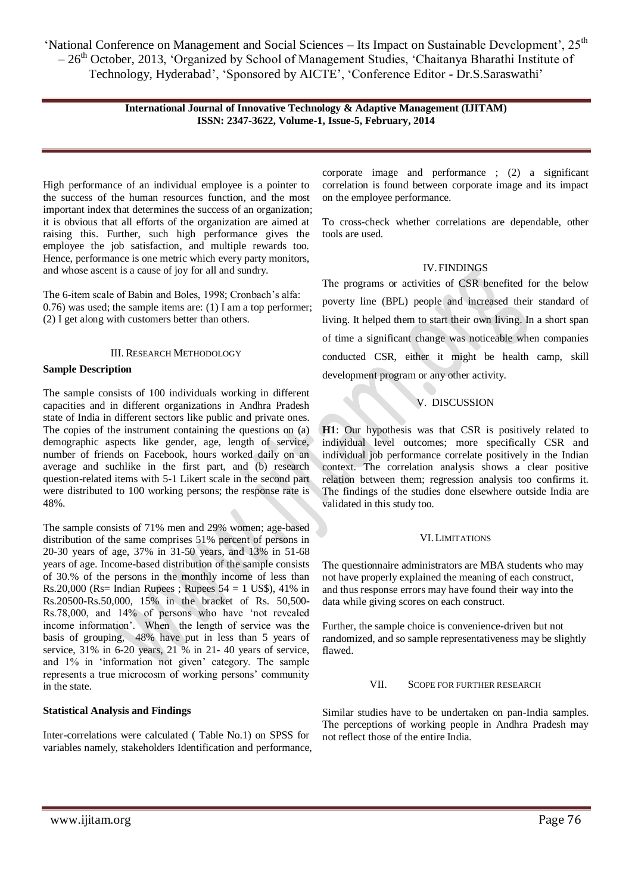'National Conference on Management and Social Sciences – Its Impact on Sustainable Development', 25<sup>th</sup>  $-26<sup>th</sup>$  October, 2013, 'Organized by School of Management Studies, 'Chaitanya Bharathi Institute of Technology, Hyderabad', 'Sponsored by AICTE', 'Conference Editor - Dr.S.Saraswathi'

#### **International Journal of Innovative Technology & Adaptive Management (IJITAM) ISSN: 2347-3622, Volume-1, Issue-5, February, 2014**

High performance of an individual employee is a pointer to the success of the human resources function, and the most important index that determines the success of an organization; it is obvious that all efforts of the organization are aimed at raising this. Further, such high performance gives the employee the job satisfaction, and multiple rewards too. Hence, performance is one metric which every party monitors, and whose ascent is a cause of joy for all and sundry.

The 6-item scale of Babin and Boles, 1998; Cronbach's alfa: 0.76) was used; the sample items are: (1) I am a top performer; (2) I get along with customers better than others.

#### III. RESEARCH METHODOLOGY

#### **Sample Description**

The sample consists of 100 individuals working in different capacities and in different organizations in Andhra Pradesh state of India in different sectors like public and private ones. The copies of the instrument containing the questions on (a) demographic aspects like gender, age, length of service, number of friends on Facebook, hours worked daily on an average and suchlike in the first part, and (b) research question-related items with 5-1 Likert scale in the second part were distributed to 100 working persons; the response rate is 48%.

The sample consists of 71% men and 29% women; age-based distribution of the same comprises 51% percent of persons in 20-30 years of age, 37% in 31-50 years, and 13% in 51-68 years of age. Income-based distribution of the sample consists of 30.% of the persons in the monthly income of less than Rs.20,000 (Rs= Indian Rupees ; Rupees  $54 = 1$  US\$), 41% in Rs.20500-Rs.50,000, 15% in the bracket of Rs. 50,500- Rs.78,000, and 14% of persons who have 'not revealed income information'. When the length of service was the basis of grouping, 48% have put in less than 5 years of service, 31% in 6-20 years, 21 % in 21- 40 years of service, and 1% in 'information not given' category. The sample represents a true microcosm of working persons' community in the state.

#### **Statistical Analysis and Findings**

Inter-correlations were calculated ( Table No.1) on SPSS for variables namely, stakeholders Identification and performance, corporate image and performance ; (2) a significant correlation is found between corporate image and its impact on the employee performance.

To cross-check whether correlations are dependable, other tools are used.

#### IV.FINDINGS

The programs or activities of CSR benefited for the below poverty line (BPL) people and increased their standard of living. It helped them to start their own living. In a short span of time a significant change was noticeable when companies conducted CSR, either it might be health camp, skill development program or any other activity.

# V. DISCUSSION

**H1**: Our hypothesis was that CSR is positively related to individual level outcomes; more specifically CSR and individual job performance correlate positively in the Indian context. The correlation analysis shows a clear positive relation between them; regression analysis too confirms it. The findings of the studies done elsewhere outside India are validated in this study too.

#### VI.LIMITATIONS

The questionnaire administrators are MBA students who may not have properly explained the meaning of each construct, and thus response errors may have found their way into the data while giving scores on each construct.

Further, the sample choice is convenience-driven but not randomized, and so sample representativeness may be slightly flawed.

#### VII. SCOPE FOR FURTHER RESEARCH

Similar studies have to be undertaken on pan-India samples. The perceptions of working people in Andhra Pradesh may not reflect those of the entire India.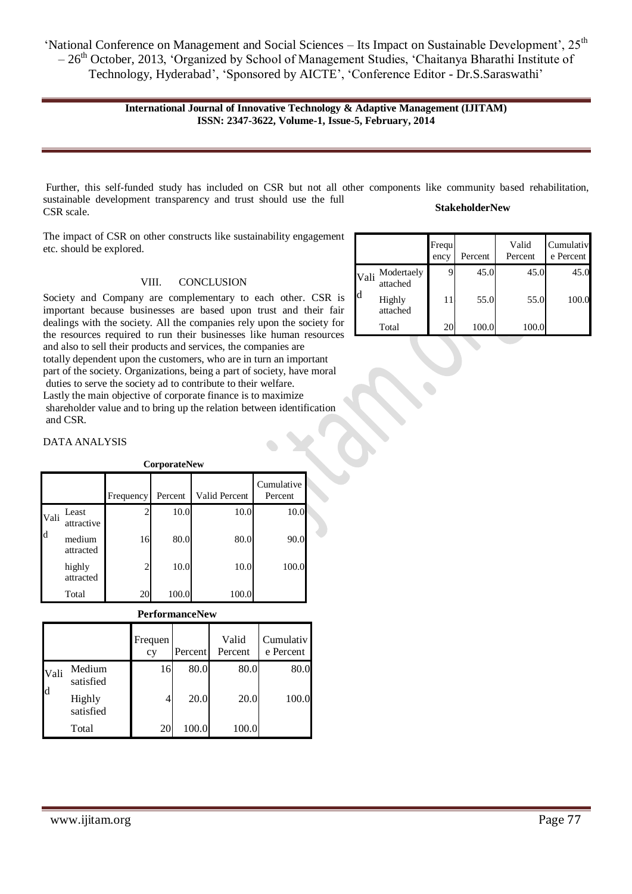**International Journal of Innovative Technology & Adaptive Management (IJITAM) ISSN: 2347-3622, Volume-1, Issue-5, February, 2014**

Further, this self-funded study has included on CSR but not all other components like community based rehabilitation, sustainable development transparency and trust should use the full CSR scale. **StakeholderNew**

The impact of CSR on other constructs like sustainability engagement etc. should be explored.

#### VIII. CONCLUSION

Society and Company are complementary to each other. CSR is important because businesses are based upon trust and their fair dealings with the society. All the companies rely upon the society for the resources required to run their businesses like human resources and also to sell their products and services, the companies are totally dependent upon the customers, who are in turn an important part of the society. Organizations, being a part of society, have moral duties to serve the society ad to contribute to their welfare. Lastly the main objective of corporate finance is to maximize shareholder value and to bring up the relation between identification and CSR.

### DATA ANALYSIS

**CorporateNew** Frequency Percent Valid Percent Cumulative Percent Vali d Least attractive 2 10.0 10.0 10.0 medium attracted 16 80.0 80.0 90.0 highly attracted 2 10.0 10.0 100.0 Total 20 100.0 100.0

**PerformanceNew**

|                      |                     | Frequen<br>cy | Percent | Valid<br>Percent | Cumulativ<br>e Percent |
|----------------------|---------------------|---------------|---------|------------------|------------------------|
| Vali<br>$\mathbf{d}$ | Medium<br>satisfied | 16            | 80.0    | 80.0             | 80.0                   |
|                      | Highly<br>satisfied | 4             | 20.0    | 20.0             | 100.0                  |
|                      | Total               | 20            | 100.0   | 100.0            |                        |

|           |                        | Frequ<br>ency | Percent | Valid<br>Percent | Cumulativ<br>e Percent |
|-----------|------------------------|---------------|---------|------------------|------------------------|
| Vali<br>d | Modertaely<br>attached |               | 45.0    | 45.0             | 45.0                   |
|           | Highly<br>attached     | 11            | 55.0    | 55.0             | 100.0                  |
|           | Total                  | 20            | 100.0   | 100.0            |                        |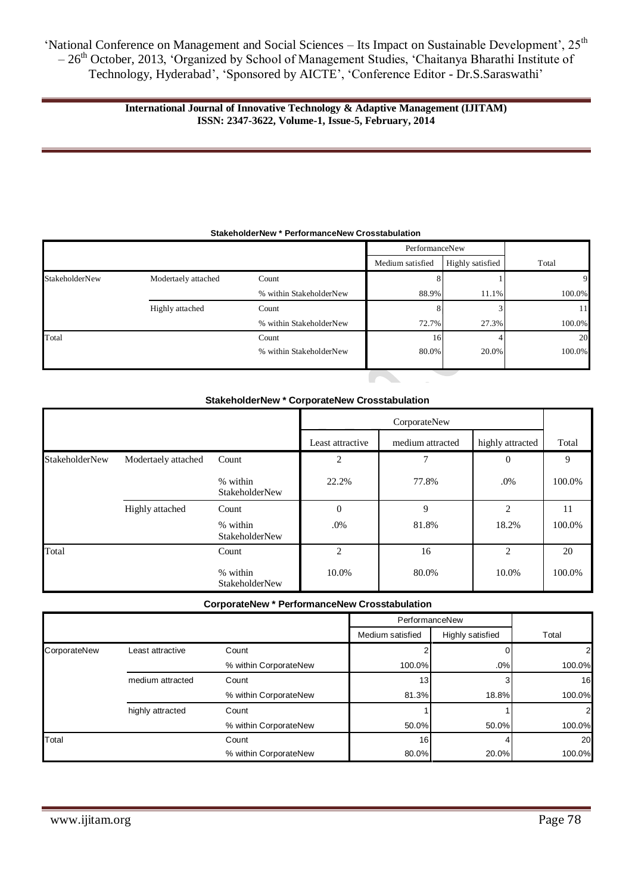# **International Journal of Innovative Technology & Adaptive Management (IJITAM) ISSN: 2347-3622, Volume-1, Issue-5, February, 2014**

|                |                     |                         | PerformanceNew   |                  |        |  |
|----------------|---------------------|-------------------------|------------------|------------------|--------|--|
|                |                     |                         | Medium satisfied | Highly satisfied | Total  |  |
| StakeholderNew | Modertaely attached | Count                   |                  |                  | 9      |  |
|                |                     | % within StakeholderNew | 88.9%            | 11.1%            | 100.0% |  |
|                | Highly attached     | Count                   |                  |                  | 11     |  |
|                |                     | % within StakeholderNew | 72.7%            | 27.3%            | 100.0% |  |
| Total          |                     | Count                   | 16               |                  | 20     |  |
|                |                     | % within StakeholderNew | 80.0%            | 20.0%            | 100.0% |  |

#### **StakeholderNew \* PerformanceNew Crosstabulation**

# **StakeholderNew \* CorporateNew Crosstabulation**

|                       |                     |                                   | CorporateNew     |                  |                  |        |
|-----------------------|---------------------|-----------------------------------|------------------|------------------|------------------|--------|
|                       |                     |                                   | Least attractive | medium attracted | highly attracted | Total  |
| <b>StakeholderNew</b> | Modertaely attached | Count                             | $\overline{2}$   | 7                | $\theta$         | 9      |
|                       |                     | % within<br><b>StakeholderNew</b> | 22.2%            | 77.8%            | .0%              | 100.0% |
|                       | Highly attached     | Count                             | $\boldsymbol{0}$ | 9                | $\overline{c}$   | 11     |
|                       |                     | % within<br><b>StakeholderNew</b> | $.0\%$           | 81.8%            | 18.2%            | 100.0% |
| Total                 |                     | Count                             | 2                | 16               | $\overline{c}$   | 20     |
|                       |                     | % within<br><b>StakeholderNew</b> | 10.0%            | 80.0%            | 10.0%            | 100.0% |

**CorporateNew \* PerformanceNew Crosstabulation**

|              |                  |                       | PerformanceNew   |                  |                |
|--------------|------------------|-----------------------|------------------|------------------|----------------|
|              |                  |                       | Medium satisfied | Highly satisfied | Total          |
| CorporateNew | Least attractive | Count                 |                  |                  | $\overline{2}$ |
|              |                  | % within CorporateNew | 100.0%           | .0%              | 100.0%         |
|              | medium attracted | Count                 | 13               |                  | 16             |
|              |                  | % within CorporateNew | 81.3%            | 18.8%            | 100.0%         |
|              | highly attracted | Count                 |                  |                  | $\overline{2}$ |
|              |                  | % within CorporateNew | 50.0%            | 50.0%            | 100.0%         |
| Total        |                  | Count                 | 16 <sup>1</sup>  |                  | 20             |
|              |                  | % within CorporateNew | 80.0%            | 20.0%            | 100.0%         |